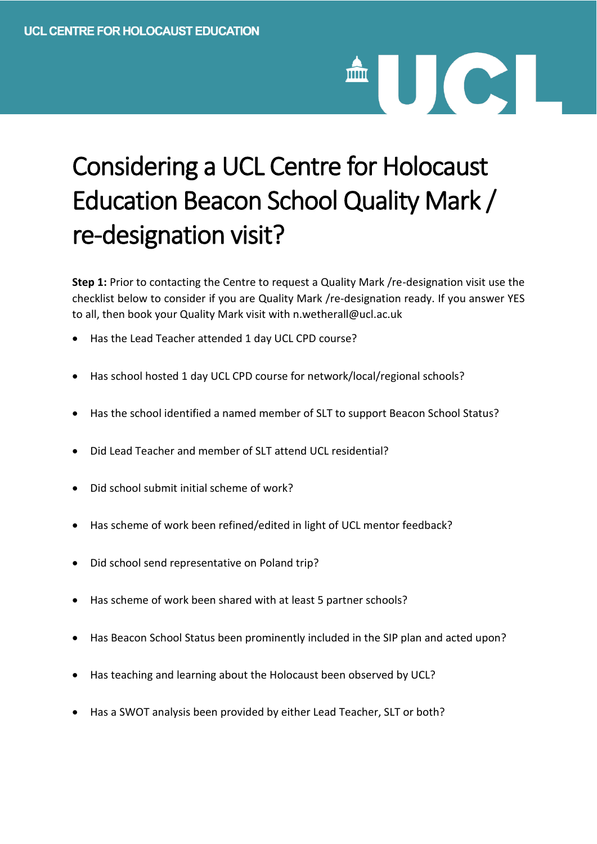## Considering a UCL Centre for Holocaust Education Beacon School Quality Mark / re-designation visit?

UCI

**Step 1:** Prior to contacting the Centre to request a Quality Mark /re-designation visit use the checklist below to consider if you are Quality Mark /re-designation ready. If you answer YES to all, then book your Quality Mark visit with n.wetherall@ucl.ac.uk

- Has the Lead Teacher attended 1 day UCL CPD course?
- Has school hosted 1 day UCL CPD course for network/local/regional schools?
- Has the school identified a named member of SLT to support Beacon School Status?
- Did Lead Teacher and member of SLT attend UCL residential?
- Did school submit initial scheme of work?
- Has scheme of work been refined/edited in light of UCL mentor feedback?
- Did school send representative on Poland trip?
- Has scheme of work been shared with at least 5 partner schools?
- Has Beacon School Status been prominently included in the SIP plan and acted upon?
- Has teaching and learning about the Holocaust been observed by UCL?
- Has a SWOT analysis been provided by either Lead Teacher, SLT or both?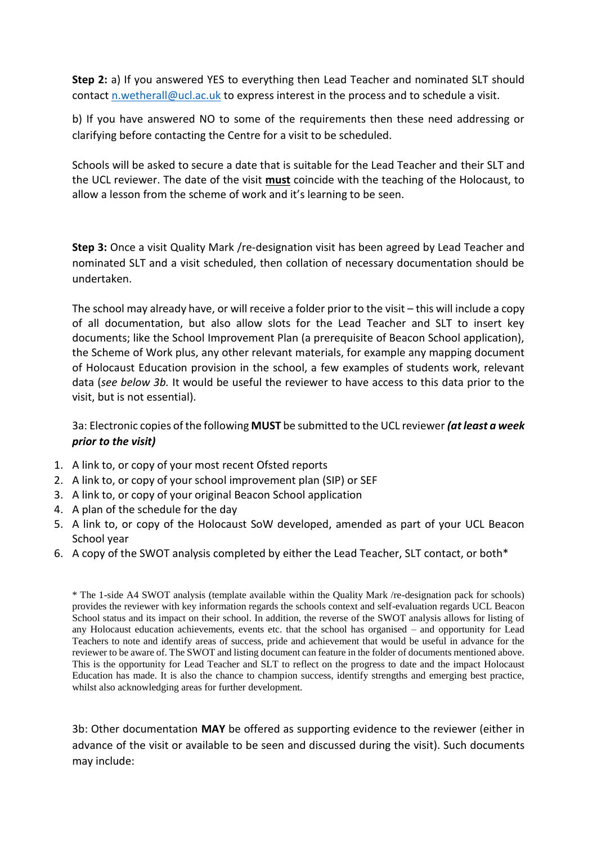**Step 2:** a) If you answered YES to everything then Lead Teacher and nominated SLT should contact [n.wetherall@ucl.ac.uk](mailto:n.wetherall@ucl.ac.uk) to express interest in the process and to schedule a visit.

b) If you have answered NO to some of the requirements then these need addressing or clarifying before contacting the Centre for a visit to be scheduled.

Schools will be asked to secure a date that is suitable for the Lead Teacher and their SLT and the UCL reviewer. The date of the visit **must** coincide with the teaching of the Holocaust, to allow a lesson from the scheme of work and it's learning to be seen.

**Step 3:** Once a visit Quality Mark /re-designation visit has been agreed by Lead Teacher and nominated SLT and a visit scheduled, then collation of necessary documentation should be undertaken.

The school may already have, or will receive a folder prior to the visit – this will include a copy of all documentation, but also allow slots for the Lead Teacher and SLT to insert key documents; like the School Improvement Plan (a prerequisite of Beacon School application), the Scheme of Work plus, any other relevant materials, for example any mapping document of Holocaust Education provision in the school, a few examples of students work, relevant data (*see below 3b.* It would be useful the reviewer to have access to this data prior to the visit, but is not essential).

3a: Electronic copies of the following **MUST** be submitted to the UCL reviewer *(at least a week prior to the visit)*

- 1. A link to, or copy of your most recent Ofsted reports
- 2. A link to, or copy of your school improvement plan (SIP) or SEF
- 3. A link to, or copy of your original Beacon School application
- 4. A plan of the schedule for the day
- 5. A link to, or copy of the Holocaust SoW developed, amended as part of your UCL Beacon School year
- 6. A copy of the SWOT analysis completed by either the Lead Teacher, SLT contact, or both\*

\* The 1-side A4 SWOT analysis (template available within the Quality Mark /re-designation pack for schools) provides the reviewer with key information regards the schools context and self-evaluation regards UCL Beacon School status and its impact on their school. In addition, the reverse of the SWOT analysis allows for listing of any Holocaust education achievements, events etc. that the school has organised – and opportunity for Lead Teachers to note and identify areas of success, pride and achievement that would be useful in advance for the reviewer to be aware of. The SWOT and listing document can feature in the folder of documents mentioned above. This is the opportunity for Lead Teacher and SLT to reflect on the progress to date and the impact Holocaust Education has made. It is also the chance to champion success, identify strengths and emerging best practice, whilst also acknowledging areas for further development.

3b: Other documentation **MAY** be offered as supporting evidence to the reviewer (either in advance of the visit or available to be seen and discussed during the visit). Such documents may include: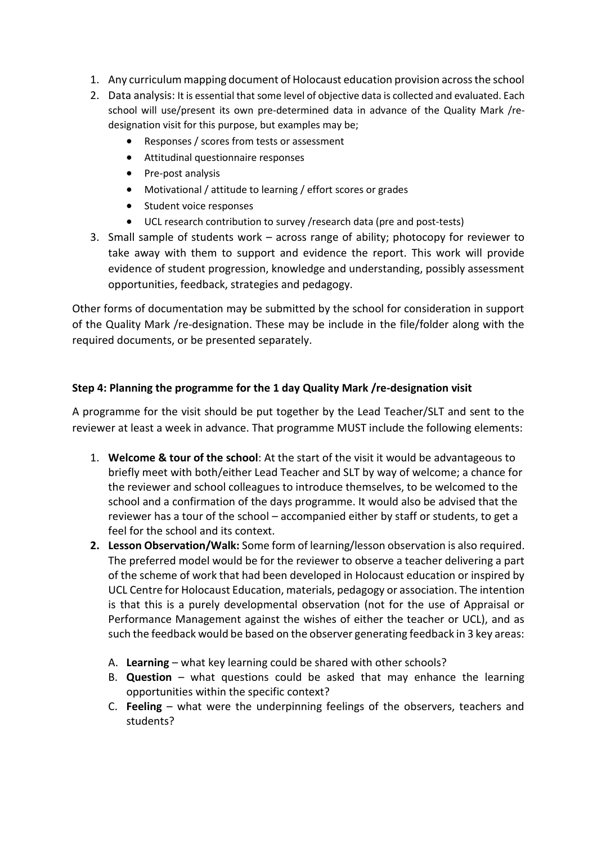- 1. Any curriculum mapping document of Holocaust education provision across the school
- 2. Data analysis: It is essential that some level of objective data is collected and evaluated. Each school will use/present its own pre-determined data in advance of the Quality Mark /redesignation visit for this purpose, but examples may be;
	- Responses / scores from tests or assessment
	- Attitudinal questionnaire responses
	- Pre-post analysis
	- Motivational / attitude to learning / effort scores or grades
	- Student voice responses
	- UCL research contribution to survey /research data (pre and post-tests)
- 3. Small sample of students work across range of ability; photocopy for reviewer to take away with them to support and evidence the report. This work will provide evidence of student progression, knowledge and understanding, possibly assessment opportunities, feedback, strategies and pedagogy.

Other forms of documentation may be submitted by the school for consideration in support of the Quality Mark /re-designation. These may be include in the file/folder along with the required documents, or be presented separately.

## **Step 4: Planning the programme for the 1 day Quality Mark /re-designation visit**

A programme for the visit should be put together by the Lead Teacher/SLT and sent to the reviewer at least a week in advance. That programme MUST include the following elements:

- 1. **Welcome & tour of the school**: At the start of the visit it would be advantageous to briefly meet with both/either Lead Teacher and SLT by way of welcome; a chance for the reviewer and school colleagues to introduce themselves, to be welcomed to the school and a confirmation of the days programme. It would also be advised that the reviewer has a tour of the school – accompanied either by staff or students, to get a feel for the school and its context.
- **2. Lesson Observation/Walk:** Some form of learning/lesson observation is also required. The preferred model would be for the reviewer to observe a teacher delivering a part of the scheme of work that had been developed in Holocaust education or inspired by UCL Centre for Holocaust Education, materials, pedagogy or association. The intention is that this is a purely developmental observation (not for the use of Appraisal or Performance Management against the wishes of either the teacher or UCL), and as such the feedback would be based on the observer generating feedback in 3 key areas:
	- A. **Learning** what key learning could be shared with other schools?
	- B. **Question** what questions could be asked that may enhance the learning opportunities within the specific context?
	- C. **Feeling** what were the underpinning feelings of the observers, teachers and students?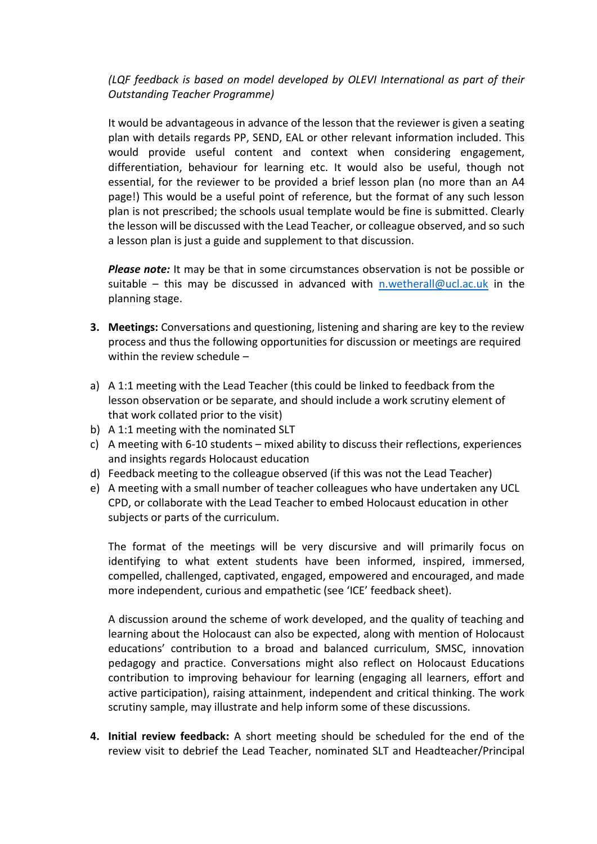## *(LQF feedback is based on model developed by OLEVI International as part of their Outstanding Teacher Programme)*

It would be advantageous in advance of the lesson that the reviewer is given a seating plan with details regards PP, SEND, EAL or other relevant information included. This would provide useful content and context when considering engagement, differentiation, behaviour for learning etc. It would also be useful, though not essential, for the reviewer to be provided a brief lesson plan (no more than an A4 page!) This would be a useful point of reference, but the format of any such lesson plan is not prescribed; the schools usual template would be fine is submitted. Clearly the lesson will be discussed with the Lead Teacher, or colleague observed, and so such a lesson plan is just a guide and supplement to that discussion.

*Please note:* It may be that in some circumstances observation is not be possible or suitable – this may be discussed in advanced with [n.wetherall@ucl.ac.uk](mailto:n.wetherall@ucl.ac.uk) in the planning stage.

- **3. Meetings:** Conversations and questioning, listening and sharing are key to the review process and thus the following opportunities for discussion or meetings are required within the review schedule –
- a) A 1:1 meeting with the Lead Teacher (this could be linked to feedback from the lesson observation or be separate, and should include a work scrutiny element of that work collated prior to the visit)
- b) A 1:1 meeting with the nominated SLT
- c) A meeting with 6-10 students mixed ability to discuss their reflections, experiences and insights regards Holocaust education
- d) Feedback meeting to the colleague observed (if this was not the Lead Teacher)
- e) A meeting with a small number of teacher colleagues who have undertaken any UCL CPD, or collaborate with the Lead Teacher to embed Holocaust education in other subjects or parts of the curriculum.

The format of the meetings will be very discursive and will primarily focus on identifying to what extent students have been informed, inspired, immersed, compelled, challenged, captivated, engaged, empowered and encouraged, and made more independent, curious and empathetic (see 'ICE' feedback sheet).

A discussion around the scheme of work developed, and the quality of teaching and learning about the Holocaust can also be expected, along with mention of Holocaust educations' contribution to a broad and balanced curriculum, SMSC, innovation pedagogy and practice. Conversations might also reflect on Holocaust Educations contribution to improving behaviour for learning (engaging all learners, effort and active participation), raising attainment, independent and critical thinking. The work scrutiny sample, may illustrate and help inform some of these discussions.

**4. Initial review feedback:** A short meeting should be scheduled for the end of the review visit to debrief the Lead Teacher, nominated SLT and Headteacher/Principal